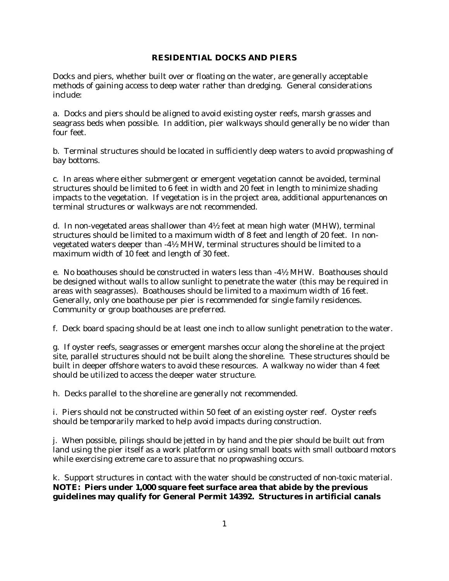## **RESIDENTIAL DOCKS AND PIERS**

Docks and piers, whether built over or floating on the water, are generally acceptable methods of gaining access to deep water rather than dredging. General considerations include:

a. Docks and piers should be aligned to avoid existing oyster reefs, marsh grasses and seagrass beds when possible. In addition, pier walkways should generally be no wider than four feet.

b. Terminal structures should be located in sufficiently deep waters to avoid propwashing of bay bottoms.

c. In areas where either submergent or emergent vegetation cannot be avoided, terminal structures should be limited to 6 feet in width and 20 feet in length to minimize shading impacts to the vegetation. If vegetation is in the project area, additional appurtenances on terminal structures or walkways are not recommended.

d. In non-vegetated areas shallower than  $4\frac{1}{2}$  feet at mean high water (MHW), terminal structures should be limited to a maximum width of 8 feet and length of 20 feet. In nonvegetated waters deeper than -4½ MHW, terminal structures should be limited to a maximum width of 10 feet and length of 30 feet.

e. No boathouses should be constructed in waters less than -4½ MHW. Boathouses should be designed without walls to allow sunlight to penetrate the water (this may be required in areas with seagrasses). Boathouses should be limited to a maximum width of 16 feet. Generally, only one boathouse per pier is recommended for single family residences. Community or group boathouses are preferred.

f. Deck board spacing should be at least one inch to allow sunlight penetration to the water.

g. If oyster reefs, seagrasses or emergent marshes occur along the shoreline at the project site, parallel structures should not be built along the shoreline. These structures should be built in deeper offshore waters to avoid these resources. A walkway no wider than 4 feet should be utilized to access the deeper water structure.

h. Decks parallel to the shoreline are generally not recommended.

i. Piers should not be constructed within 50 feet of an existing oyster reef. Oyster reefs should be temporarily marked to help avoid impacts during construction.

j. When possible, pilings should be jetted in by hand and the pier should be built out from land using the pier itself as a work platform or using small boats with small outboard motors while exercising extreme care to assure that no propwashing occurs.

k. Support structures in contact with the water should be constructed of non-toxic material. **NOTE: Piers under 1,000 square feet surface area that abide by the previous guidelines may qualify for General Permit 14392. Structures in artificial canals**